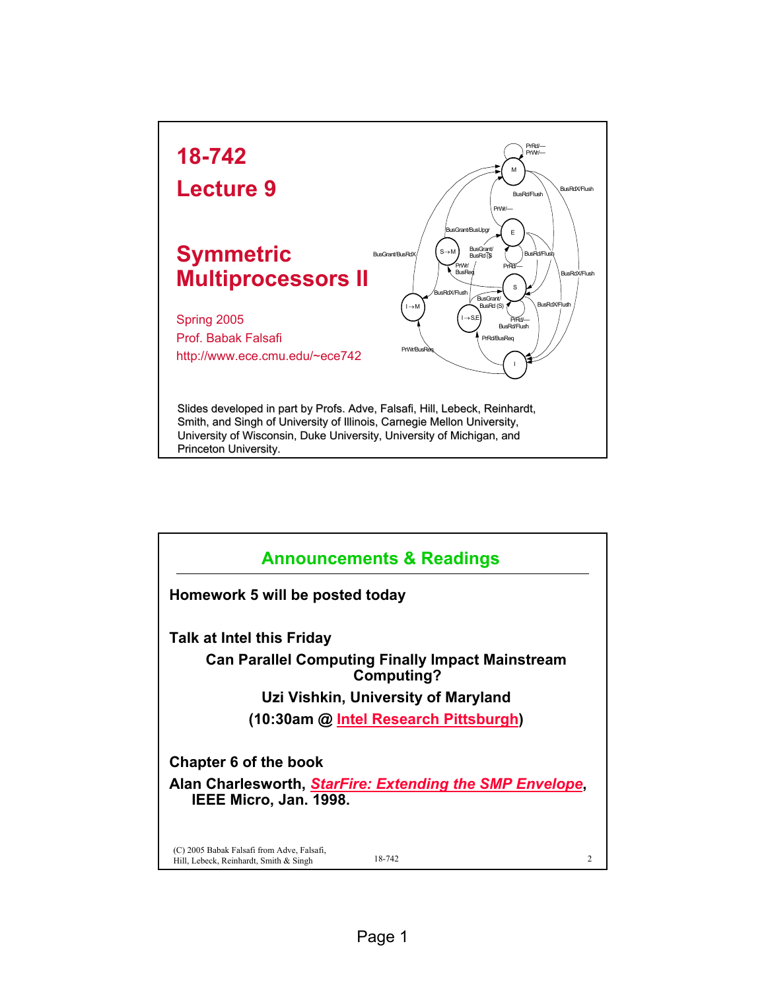

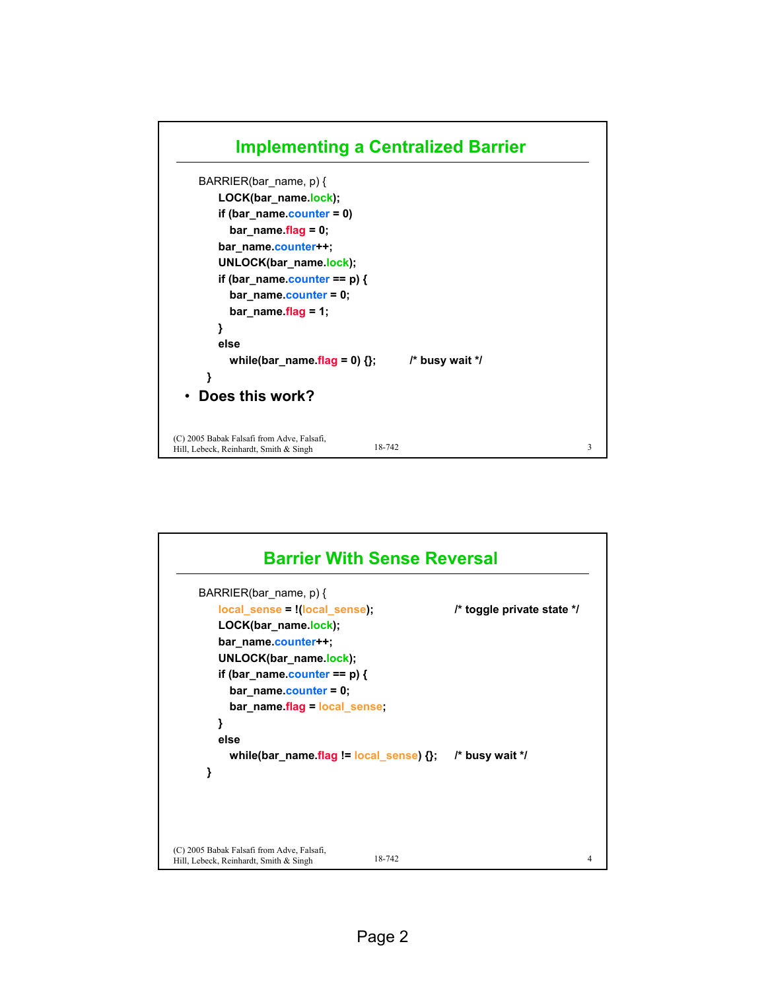

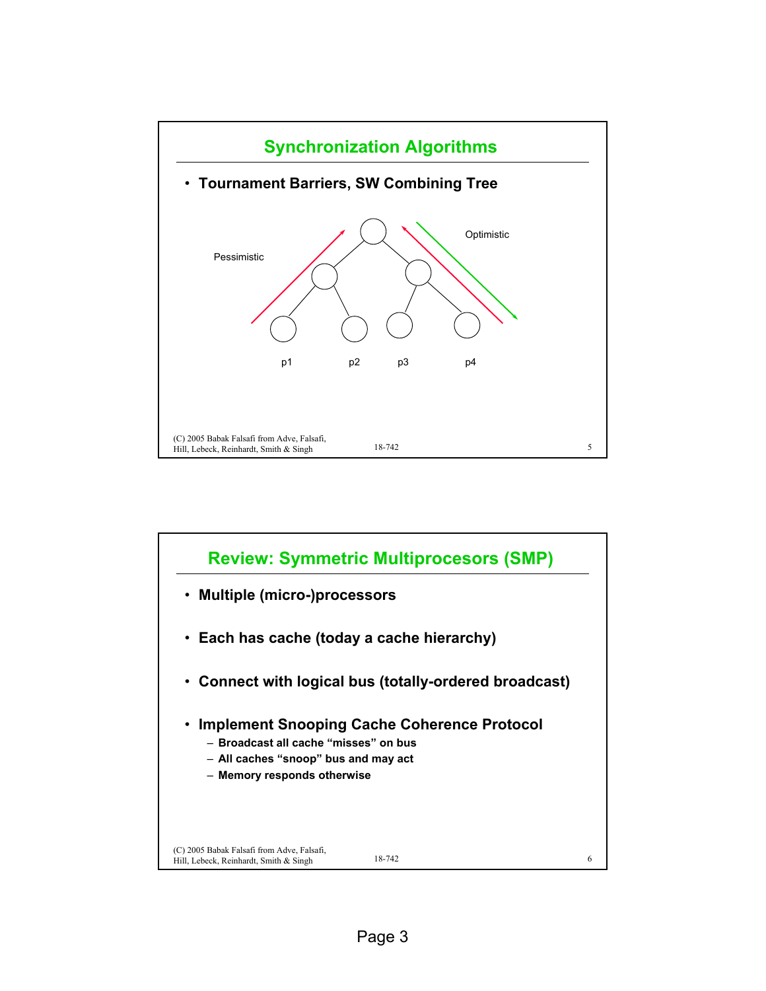

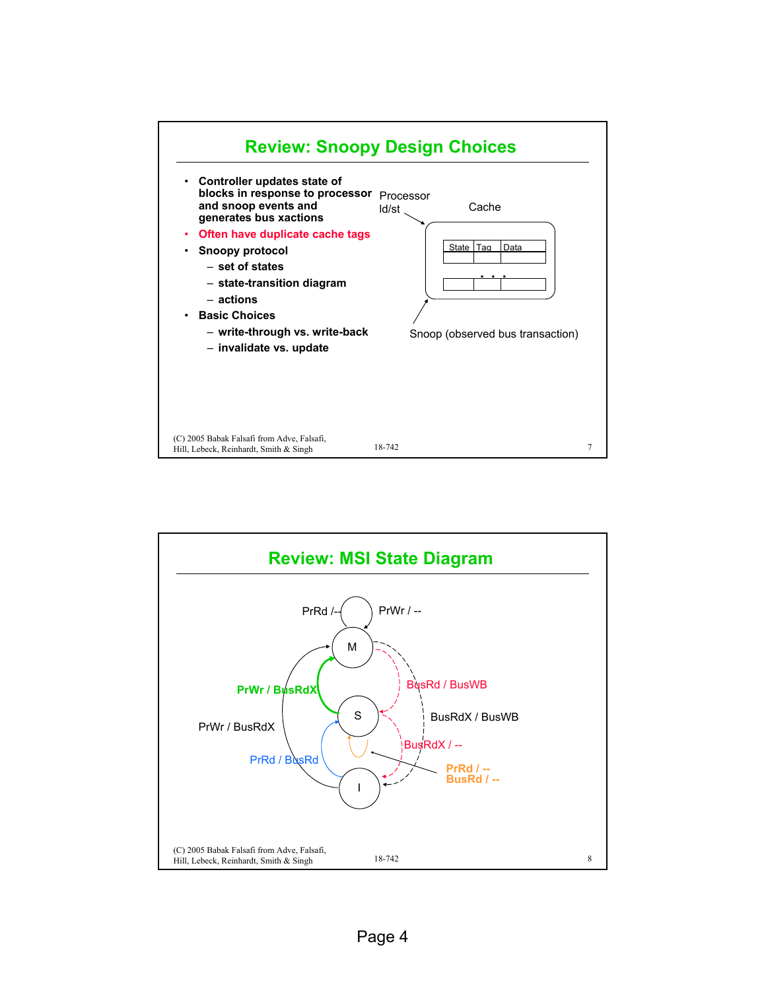

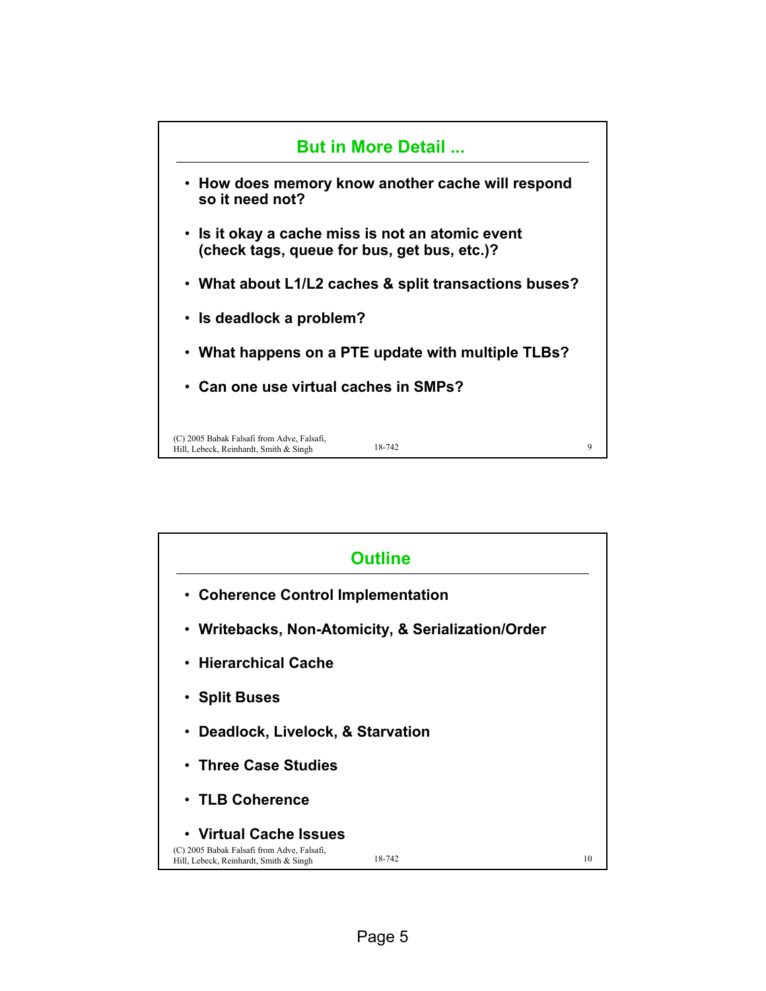

| <b>Outline</b>                                                                                                           |    |
|--------------------------------------------------------------------------------------------------------------------------|----|
| • Coherence Control Implementation                                                                                       |    |
| • Writebacks, Non-Atomicity, & Serialization/Order                                                                       |    |
| $\cdot$ Hierarchical Cache                                                                                               |    |
| • Split Buses                                                                                                            |    |
| Deadlock, Livelock, & Starvation<br>$\bullet$                                                                            |    |
| • Three Case Studies                                                                                                     |    |
| • TLB Coherence                                                                                                          |    |
| • Virtual Cache Issues<br>(C) 2005 Babak Falsafi from Adve, Falsafi,<br>18-742<br>Hill, Lebeck, Reinhardt, Smith & Singh | 10 |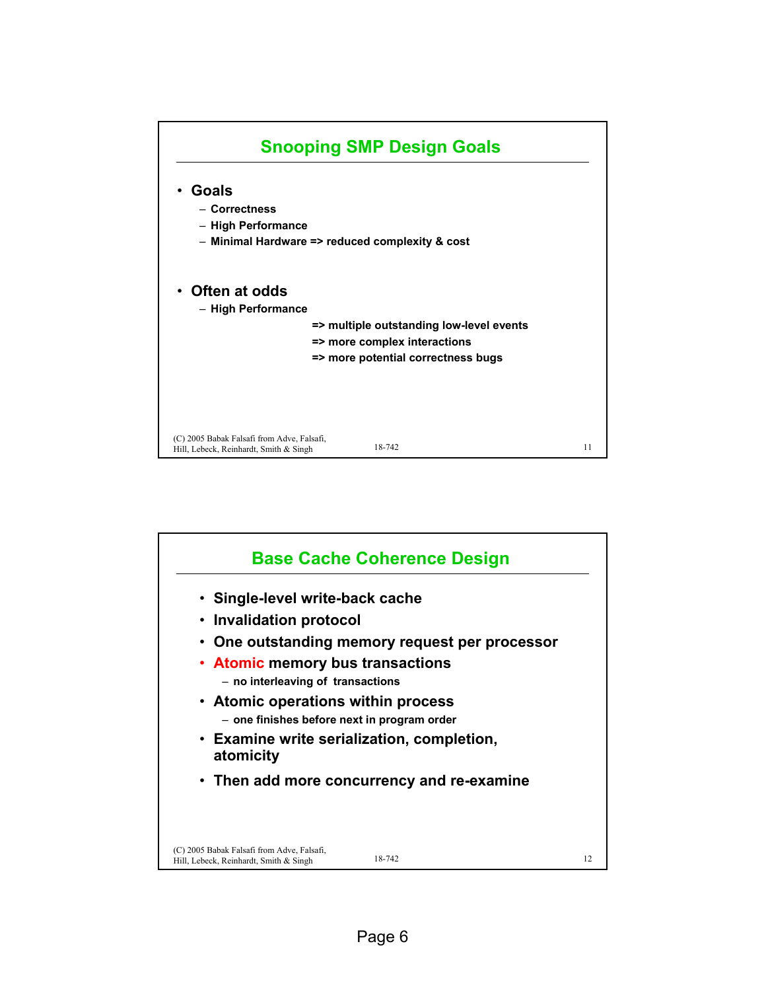

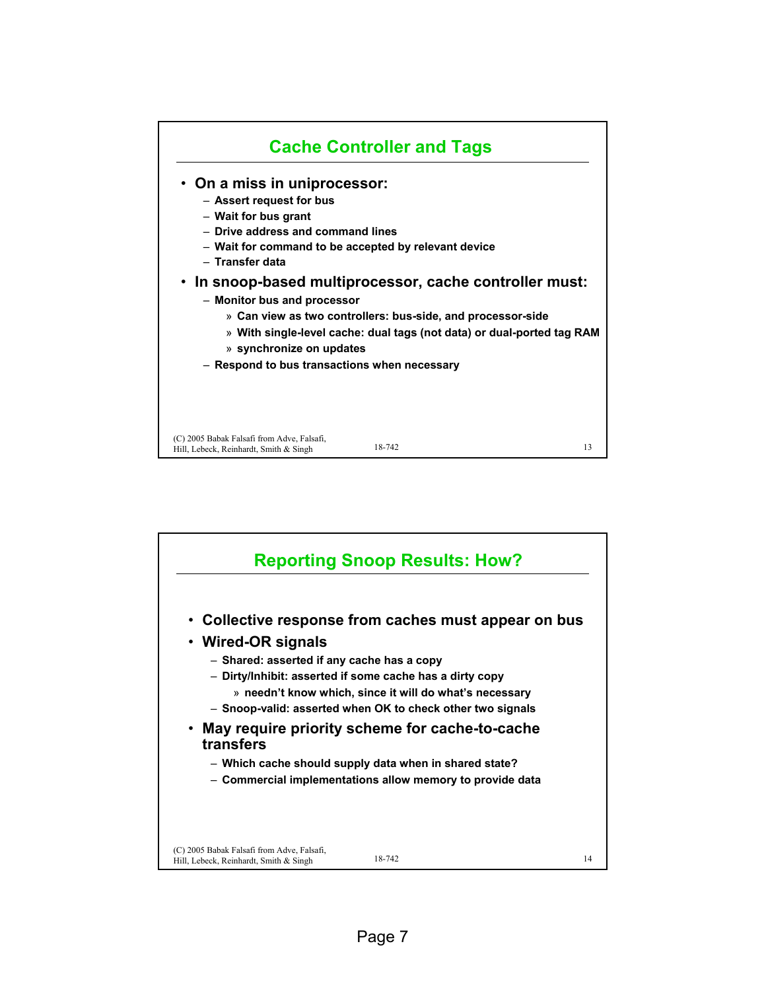

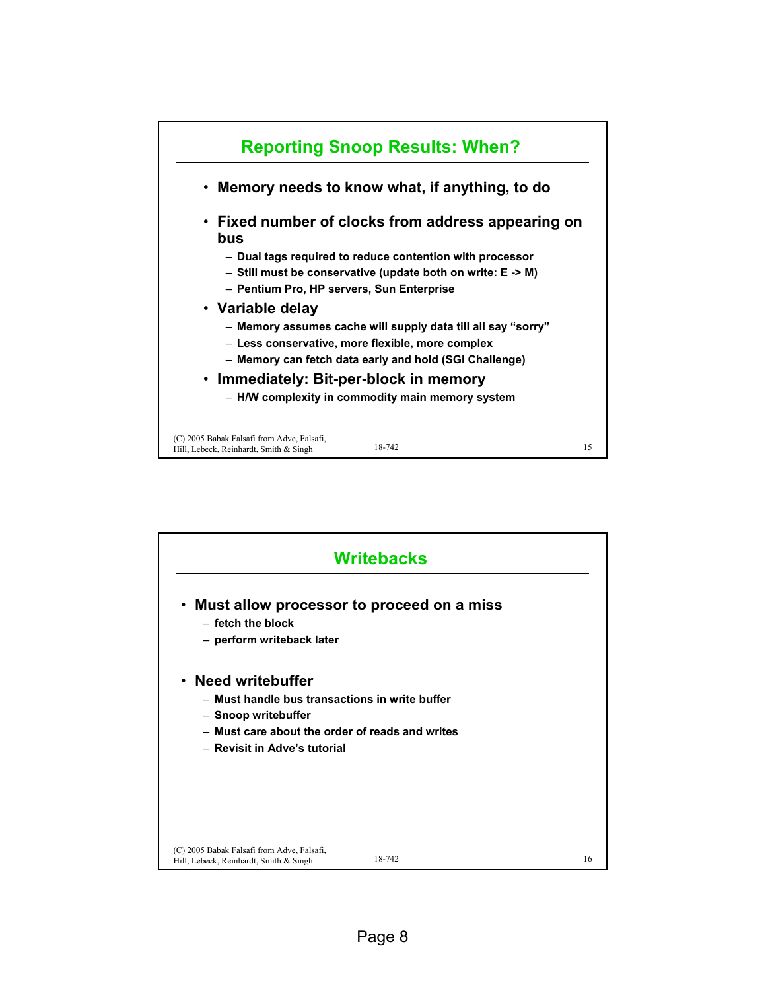

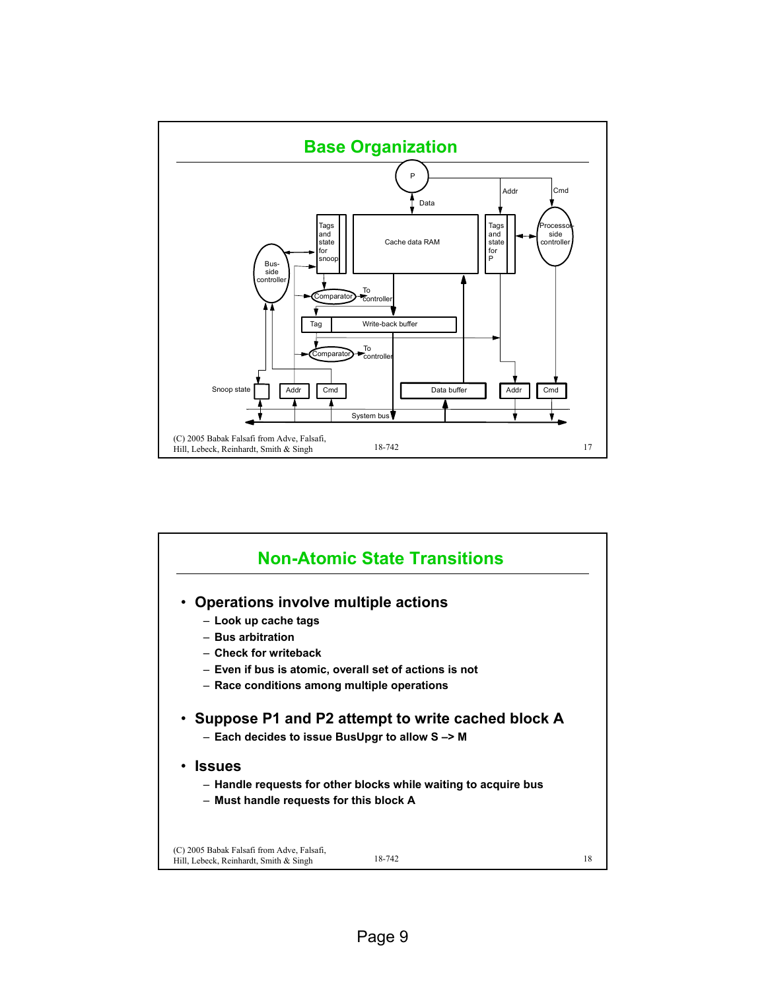

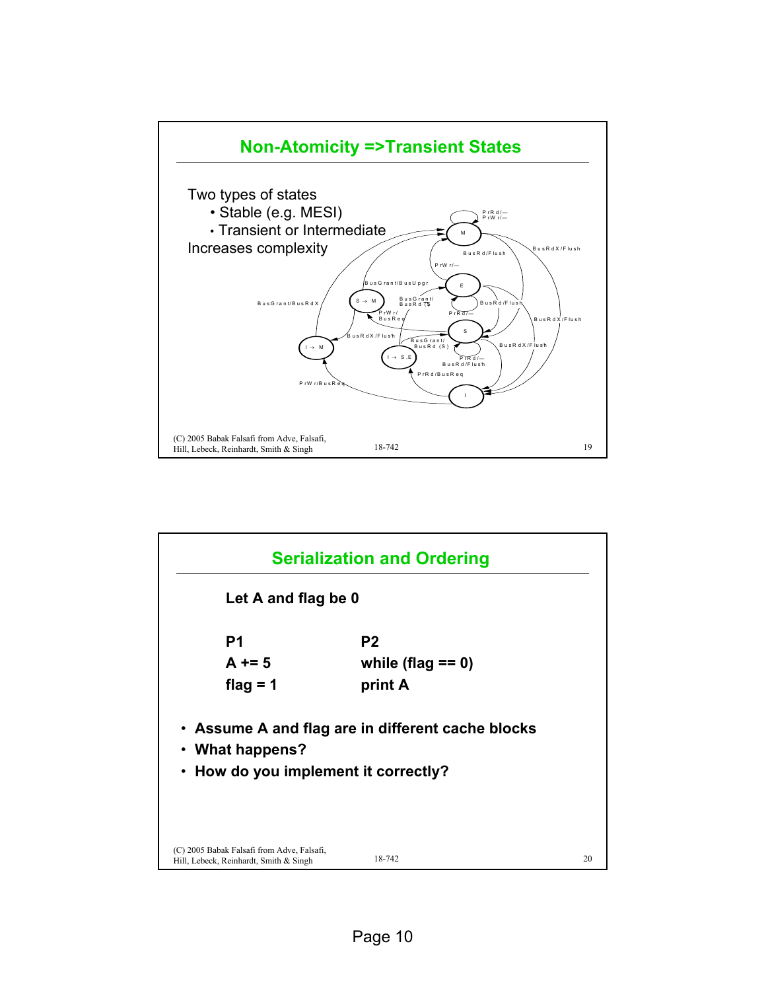

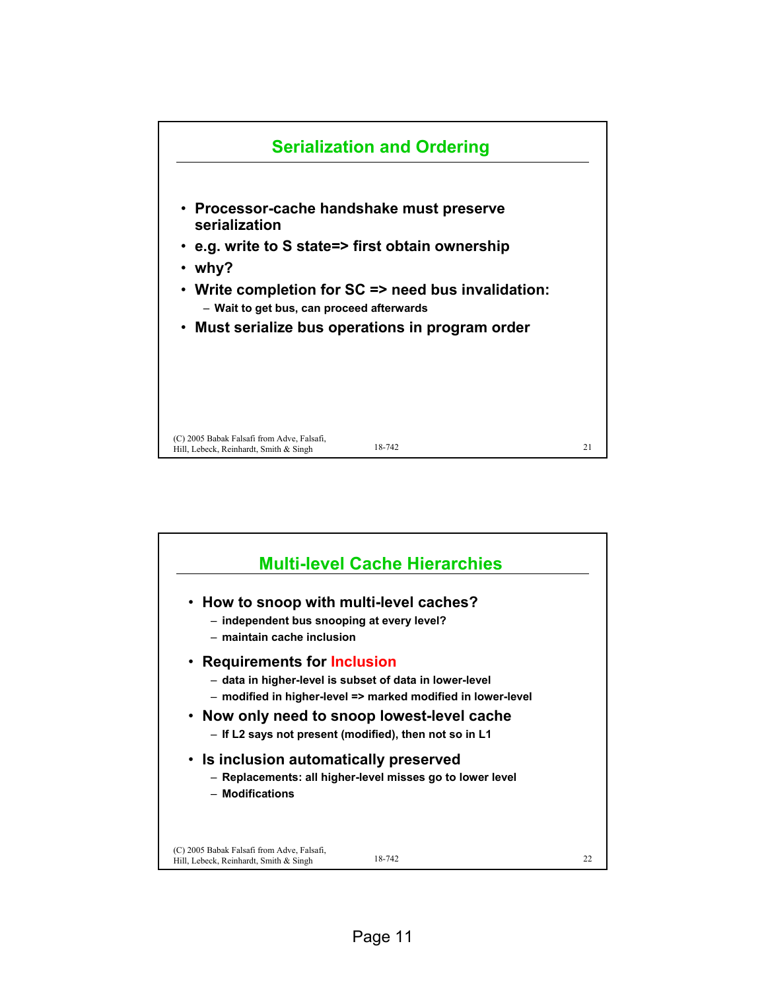

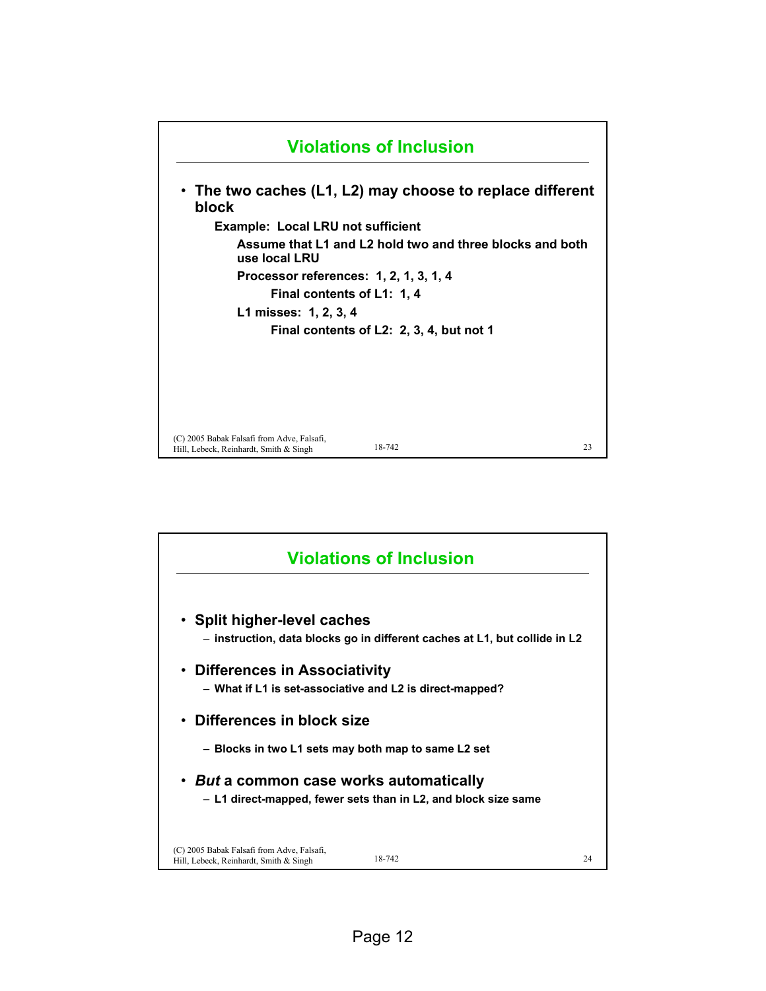

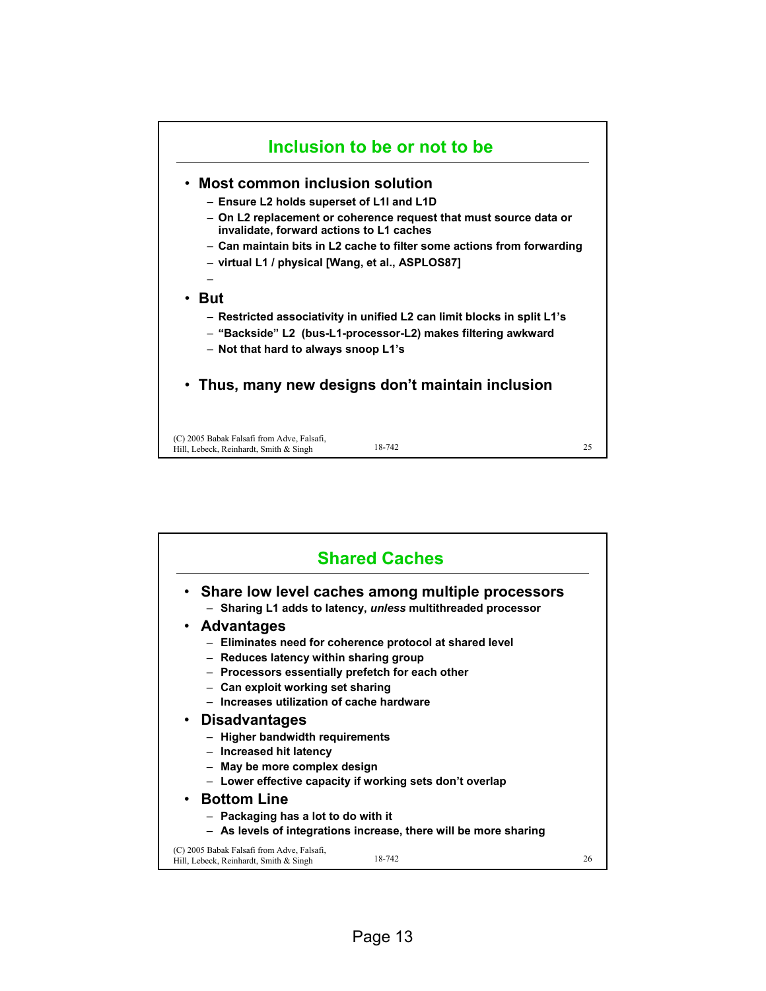

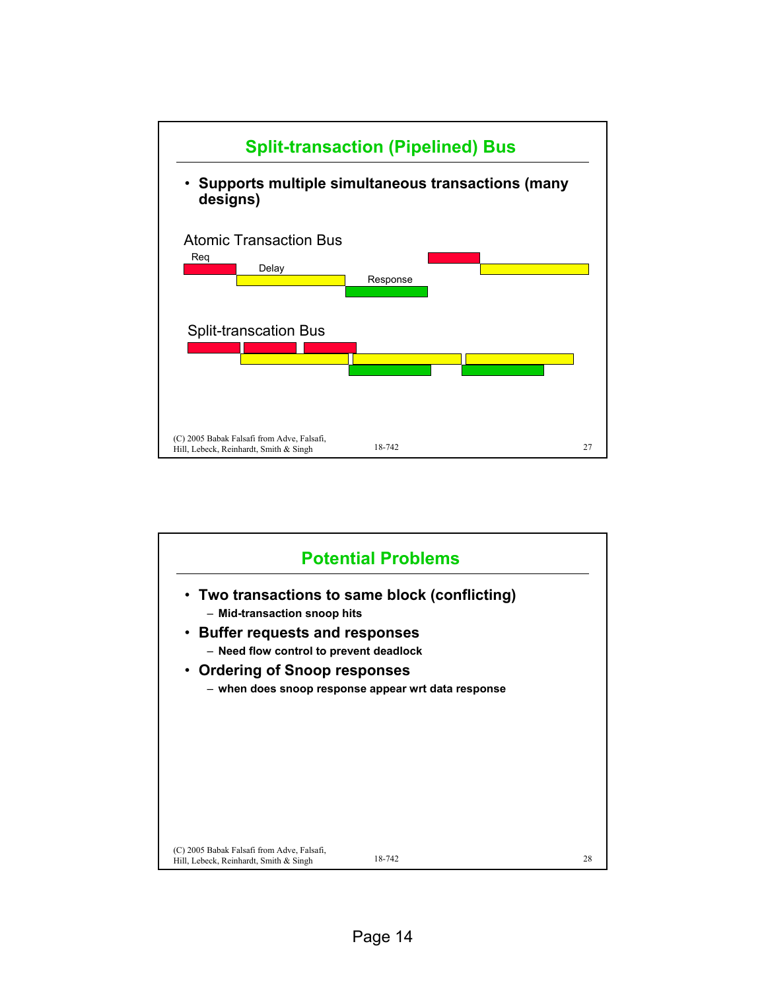

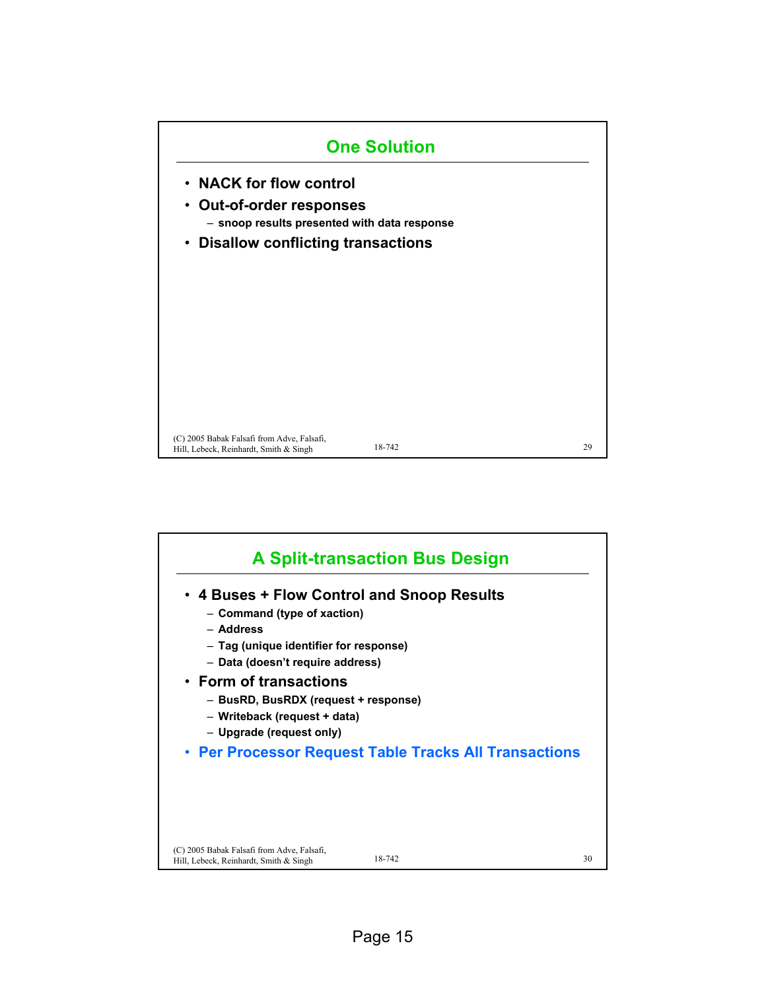

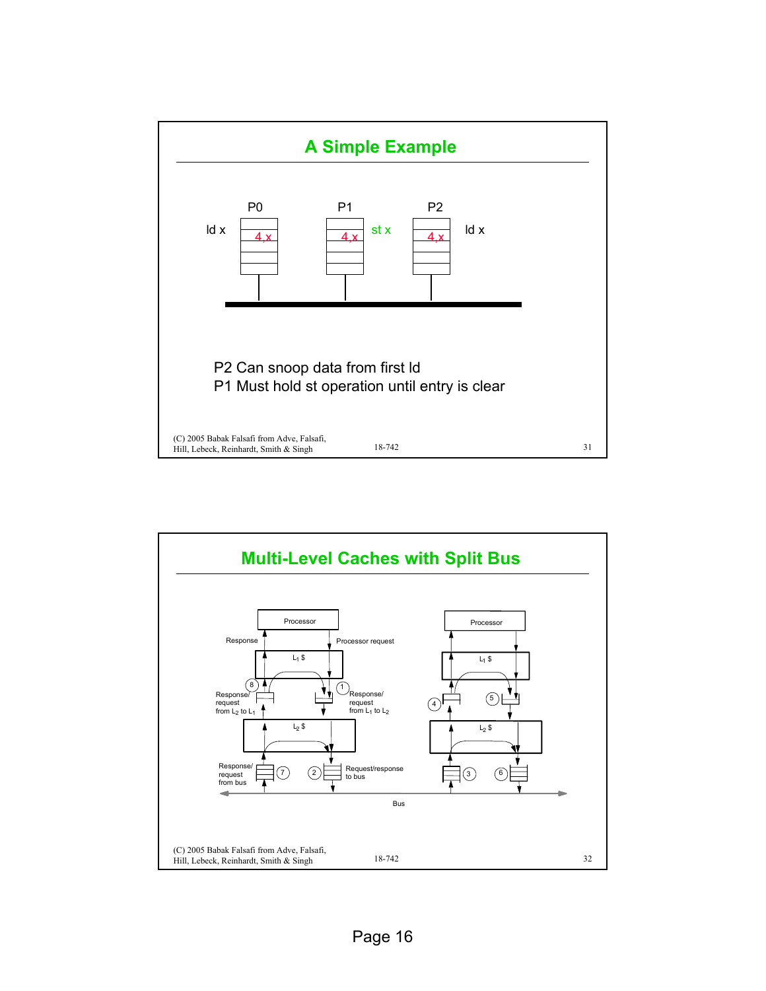